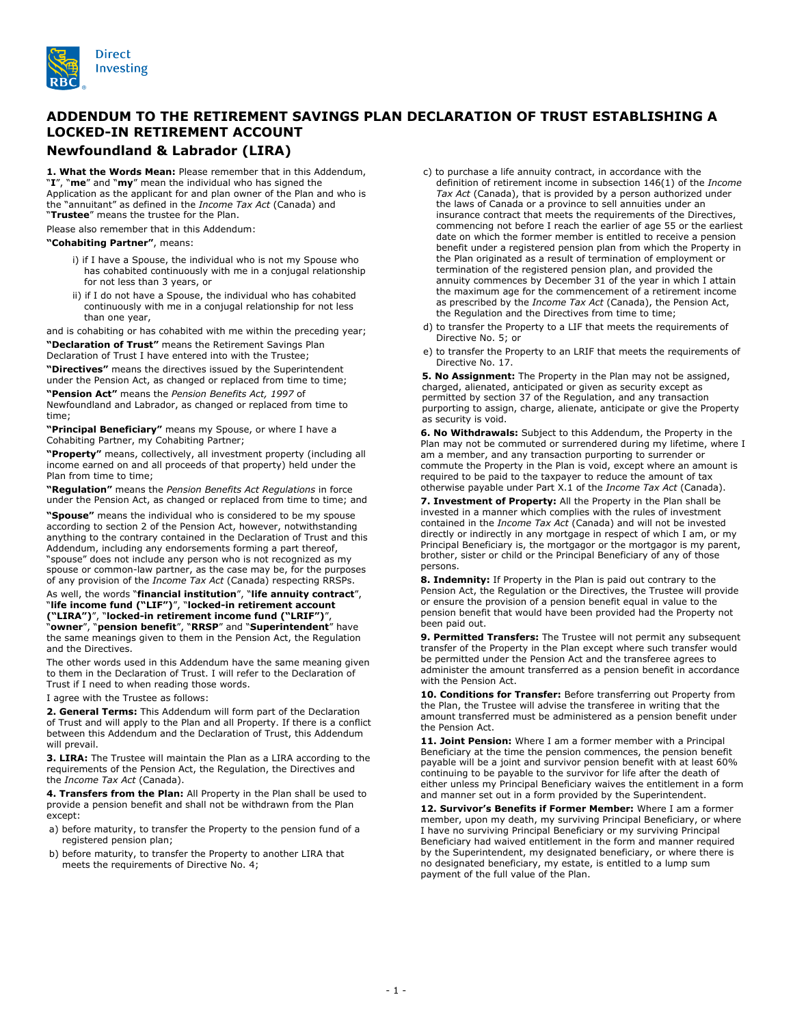

## **ADDENDUM TO THE RETIREMENT SAVINGS PLAN DECLARATION OF TRUST ESTABLISHING A LOCKED-IN RETIREMENT ACCOUNT**

## **Newfoundland & Labrador (LIRA)**

**1. What the Words Mean:** Please remember that in this Addendum, "**I**", "**me**" and "**my**" mean the individual who has signed the Application as the applicant for and plan owner of the Plan and who is the "annuitant" as defined in the *Income Tax Act* (Canada) and "**Trustee**" means the trustee for the Plan.

Please also remember that in this Addendum:

## **"Cohabiting Partner"**, means:

- i) if I have a Spouse, the individual who is not my Spouse who has cohabited continuously with me in a conjugal relationship for not less than 3 years, or
- ii) if I do not have a Spouse, the individual who has cohabited continuously with me in a conjugal relationship for not less than one year,

and is cohabiting or has cohabited with me within the preceding year;

**"Declaration of Trust"** means the Retirement Savings Plan Declaration of Trust I have entered into with the Trustee;

**"Directives"** means the directives issued by the Superintendent under the Pension Act, as changed or replaced from time to time;

**"Pension Act"** means the *Pension Benefits Act, 1997* of Newfoundland and Labrador, as changed or replaced from time to time;

**"Principal Beneficiary"** means my Spouse, or where I have a Cohabiting Partner, my Cohabiting Partner;

**"Property"** means, collectively, all investment property (including all income earned on and all proceeds of that property) held under the Plan from time to time;

**"Regulation"** means the *Pension Benefits Act Regulations* in force under the Pension Act, as changed or replaced from time to time; and

**"Spouse"** means the individual who is considered to be my spouse according to section 2 of the Pension Act, however, notwithstanding anything to the contrary contained in the Declaration of Trust and this Addendum, including any endorsements forming a part thereof, "spouse" does not include any person who is not recognized as my spouse or common-law partner, as the case may be, for the purposes of any provision of the *Income Tax Act* (Canada) respecting RRSPs.

## As well, the words "**financial institution**", "**life annuity contract**", "**life income fund ("LIF")**", "**locked-in retirement account ("LIRA")**", "**locked-in retirement income fund ("LRIF")**",

"**owner**", "**pension benefit**", "**RRSP**" and "**Superintendent**" have the same meanings given to them in the Pension Act, the Regulation and the Directives.

The other words used in this Addendum have the same meaning given to them in the Declaration of Trust. I will refer to the Declaration of Trust if I need to when reading those words.

I agree with the Trustee as follows:

**2. General Terms:** This Addendum will form part of the Declaration of Trust and will apply to the Plan and all Property. If there is a conflict between this Addendum and the Declaration of Trust, this Addendum will prevail.

**3. LIRA:** The Trustee will maintain the Plan as a LIRA according to the requirements of the Pension Act, the Regulation, the Directives and the *Income Tax Act* (Canada).

**4. Transfers from the Plan:** All Property in the Plan shall be used to provide a pension benefit and shall not be withdrawn from the Plan except:

- a) before maturity, to transfer the Property to the pension fund of a registered pension plan;
- b) before maturity, to transfer the Property to another LIRA that meets the requirements of Directive No. 4;
- c) to purchase a life annuity contract, in accordance with the definition of retirement income in subsection 146(1) of the *Income Tax Act* (Canada), that is provided by a person authorized under the laws of Canada or a province to sell annuities under an insurance contract that meets the requirements of the Directives, commencing not before I reach the earlier of age 55 or the earliest date on which the former member is entitled to receive a pension benefit under a registered pension plan from which the Property in the Plan originated as a result of termination of employment or termination of the registered pension plan, and provided the annuity commences by December 31 of the year in which I attain the maximum age for the commencement of a retirement income as prescribed by the *Income Tax Act* (Canada), the Pension Act, the Regulation and the Directives from time to time;
- d) to transfer the Property to a LIF that meets the requirements of Directive No. 5; or
- e) to transfer the Property to an LRIF that meets the requirements of Directive No. 17.

**5. No Assignment:** The Property in the Plan may not be assigned, charged, alienated, anticipated or given as security except as permitted by section 37 of the Regulation, and any transaction purporting to assign, charge, alienate, anticipate or give the Property as security is void.

**6. No Withdrawals:** Subject to this Addendum, the Property in the Plan may not be commuted or surrendered during my lifetime, where I am a member, and any transaction purporting to surrender or commute the Property in the Plan is void, except where an amount is required to be paid to the taxpayer to reduce the amount of tax otherwise payable under Part X.1 of the *Income Tax Act* (Canada).

**7. Investment of Property:** All the Property in the Plan shall be invested in a manner which complies with the rules of investment contained in the *Income Tax Act* (Canada) and will not be invested directly or indirectly in any mortgage in respect of which I am, or my Principal Beneficiary is, the mortgagor or the mortgagor is my parent, brother, sister or child or the Principal Beneficiary of any of those persons.

**8. Indemnity:** If Property in the Plan is paid out contrary to the Pension Act, the Regulation or the Directives, the Trustee will provide or ensure the provision of a pension benefit equal in value to the pension benefit that would have been provided had the Property not been paid out.

**9. Permitted Transfers:** The Trustee will not permit any subsequent transfer of the Property in the Plan except where such transfer would be permitted under the Pension Act and the transferee agrees to administer the amount transferred as a pension benefit in accordance with the Pension Act.

**10. Conditions for Transfer:** Before transferring out Property from the Plan, the Trustee will advise the transferee in writing that the amount transferred must be administered as a pension benefit under the Pension Act.

**11. Joint Pension:** Where I am a former member with a Principal Beneficiary at the time the pension commences, the pension benefit payable will be a joint and survivor pension benefit with at least 60% continuing to be payable to the survivor for life after the death of either unless my Principal Beneficiary waives the entitlement in a form and manner set out in a form provided by the Superintendent.

**12. Survivor's Benefits if Former Member:** Where I am a former member, upon my death, my surviving Principal Beneficiary, or where I have no surviving Principal Beneficiary or my surviving Principal Beneficiary had waived entitlement in the form and manner required by the Superintendent, my designated beneficiary, or where there is no designated beneficiary, my estate, is entitled to a lump sum payment of the full value of the Plan.